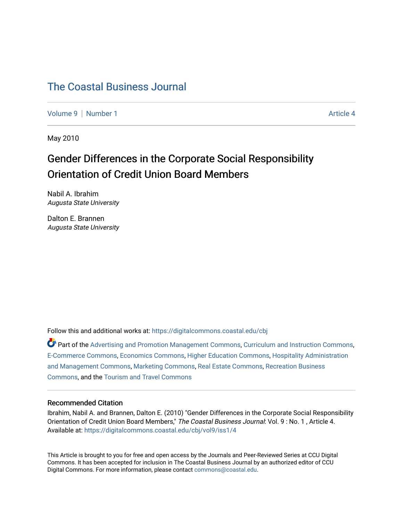# [The Coastal Business Journal](https://digitalcommons.coastal.edu/cbj)

[Volume 9](https://digitalcommons.coastal.edu/cbj/vol9) | [Number 1](https://digitalcommons.coastal.edu/cbj/vol9/iss1) Article 4

May 2010

# Gender Differences in the Corporate Social Responsibility Orientation of Credit Union Board Members

Nabil A. Ibrahim Augusta State University

Dalton E. Brannen Augusta State University

Follow this and additional works at: [https://digitalcommons.coastal.edu/cbj](https://digitalcommons.coastal.edu/cbj?utm_source=digitalcommons.coastal.edu%2Fcbj%2Fvol9%2Fiss1%2F4&utm_medium=PDF&utm_campaign=PDFCoverPages) 

Part of the [Advertising and Promotion Management Commons,](http://network.bepress.com/hgg/discipline/626?utm_source=digitalcommons.coastal.edu%2Fcbj%2Fvol9%2Fiss1%2F4&utm_medium=PDF&utm_campaign=PDFCoverPages) [Curriculum and Instruction Commons,](http://network.bepress.com/hgg/discipline/786?utm_source=digitalcommons.coastal.edu%2Fcbj%2Fvol9%2Fiss1%2F4&utm_medium=PDF&utm_campaign=PDFCoverPages) [E-Commerce Commons,](http://network.bepress.com/hgg/discipline/624?utm_source=digitalcommons.coastal.edu%2Fcbj%2Fvol9%2Fiss1%2F4&utm_medium=PDF&utm_campaign=PDFCoverPages) [Economics Commons](http://network.bepress.com/hgg/discipline/340?utm_source=digitalcommons.coastal.edu%2Fcbj%2Fvol9%2Fiss1%2F4&utm_medium=PDF&utm_campaign=PDFCoverPages), [Higher Education Commons](http://network.bepress.com/hgg/discipline/1245?utm_source=digitalcommons.coastal.edu%2Fcbj%2Fvol9%2Fiss1%2F4&utm_medium=PDF&utm_campaign=PDFCoverPages), [Hospitality Administration](http://network.bepress.com/hgg/discipline/632?utm_source=digitalcommons.coastal.edu%2Fcbj%2Fvol9%2Fiss1%2F4&utm_medium=PDF&utm_campaign=PDFCoverPages) [and Management Commons,](http://network.bepress.com/hgg/discipline/632?utm_source=digitalcommons.coastal.edu%2Fcbj%2Fvol9%2Fiss1%2F4&utm_medium=PDF&utm_campaign=PDFCoverPages) [Marketing Commons](http://network.bepress.com/hgg/discipline/638?utm_source=digitalcommons.coastal.edu%2Fcbj%2Fvol9%2Fiss1%2F4&utm_medium=PDF&utm_campaign=PDFCoverPages), [Real Estate Commons](http://network.bepress.com/hgg/discipline/641?utm_source=digitalcommons.coastal.edu%2Fcbj%2Fvol9%2Fiss1%2F4&utm_medium=PDF&utm_campaign=PDFCoverPages), [Recreation Business](http://network.bepress.com/hgg/discipline/1083?utm_source=digitalcommons.coastal.edu%2Fcbj%2Fvol9%2Fiss1%2F4&utm_medium=PDF&utm_campaign=PDFCoverPages) [Commons](http://network.bepress.com/hgg/discipline/1083?utm_source=digitalcommons.coastal.edu%2Fcbj%2Fvol9%2Fiss1%2F4&utm_medium=PDF&utm_campaign=PDFCoverPages), and the [Tourism and Travel Commons](http://network.bepress.com/hgg/discipline/1082?utm_source=digitalcommons.coastal.edu%2Fcbj%2Fvol9%2Fiss1%2F4&utm_medium=PDF&utm_campaign=PDFCoverPages)

#### Recommended Citation

Ibrahim, Nabil A. and Brannen, Dalton E. (2010) "Gender Differences in the Corporate Social Responsibility Orientation of Credit Union Board Members," The Coastal Business Journal: Vol. 9 : No. 1 , Article 4. Available at: [https://digitalcommons.coastal.edu/cbj/vol9/iss1/4](https://digitalcommons.coastal.edu/cbj/vol9/iss1/4?utm_source=digitalcommons.coastal.edu%2Fcbj%2Fvol9%2Fiss1%2F4&utm_medium=PDF&utm_campaign=PDFCoverPages)

This Article is brought to you for free and open access by the Journals and Peer-Reviewed Series at CCU Digital Commons. It has been accepted for inclusion in The Coastal Business Journal by an authorized editor of CCU Digital Commons. For more information, please contact [commons@coastal.edu](mailto:commons@coastal.edu).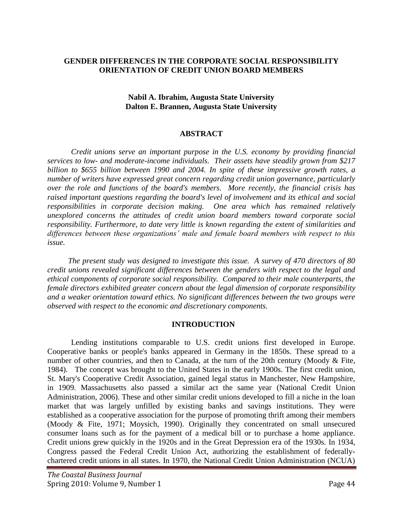## **GENDER DIFFERENCES IN THE CORPORATE SOCIAL RESPONSIBILITY ORIENTATION OF CREDIT UNION BOARD MEMBERS**

#### **Nabil A. Ibrahim, Augusta State University Dalton E. Brannen, Augusta State University**

#### **ABSTRACT**

*Credit unions serve an important purpose in the U.S. economy by providing financial services to low- and moderate-income individuals. Their assets have steadily grown from \$217 billion to \$655 billion between 1990 and 2004. In spite of these impressive growth rates, a number of writers have expressed great concern regarding credit union governance, particularly over the role and functions of the board's members. More recently, the financial crisis has raised important questions regarding the board's level of involvement and its ethical and social responsibilities in corporate decision making. One area which has remained relatively unexplored concerns the attitudes of credit union board members toward corporate social responsibility. Furthermore, to date very little is known regarding the extent of similarities and differences between these organizations' male and female board members with respect to this issue.* 

*The present study was designed to investigate this issue. A survey of 470 directors of 80 credit unions revealed significant differences between the genders with respect to the legal and ethical components of corporate social responsibility. Compared to their male counterparts, the female directors exhibited greater concern about the legal dimension of corporate responsibility and a weaker orientation toward ethics. No significant differences between the two groups were observed with respect to the economic and discretionary components.*

#### **INTRODUCTION**

Lending institutions comparable to U.S. credit unions first developed in Europe. Cooperative banks or people's banks appeared in Germany in the 1850s. These spread to a number of other countries, and then to Canada, at the turn of the 20th century (Moody & Fite, 1984). The concept was brought to the United States in the early 1900s. The first credit union, St. Mary's Cooperative Credit Association, gained legal status in Manchester, New Hampshire, in 1909. Massachusetts also passed a similar act the same year (National Credit Union Administration, 2006). These and other similar credit unions developed to fill a niche in the loan market that was largely unfilled by existing banks and savings institutions. They were established as a cooperative association for the purpose of promoting thrift among their members (Moody & Fite, 1971; Moysich, 1990). Originally they concentrated on small unsecured consumer loans such as for the payment of a medical bill or to purchase a home appliance. Credit unions grew quickly in the 1920s and in the Great Depression era of the 1930s. In 1934, Congress passed the Federal Credit Union Act, authorizing the establishment of federallychartered credit unions in all states. In 1970, the National Credit Union Administration (NCUA)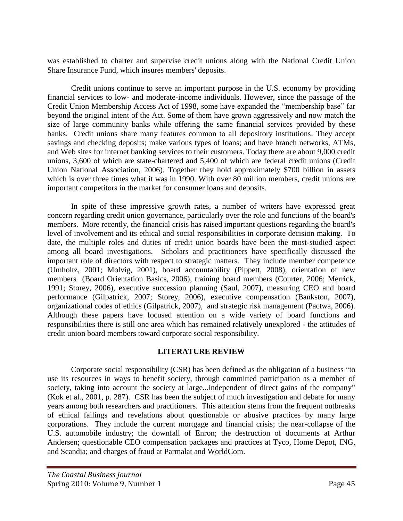was established to charter and supervise credit unions along with the National Credit Union Share Insurance Fund, which insures members' deposits.

Credit unions continue to serve an important purpose in the U.S. economy by providing financial services to low- and moderate-income individuals. However, since the passage of the Credit Union Membership Access Act of 1998, some have expanded the "membership base" far beyond the original intent of the Act. Some of them have grown aggressively and now match the size of large community banks while offering the same financial services provided by these banks. Credit unions share many features common to all depository institutions. They accept savings and checking deposits; make various types of loans; and have branch networks, ATMs, and Web sites for internet banking services to their customers. Today there are about 9,000 credit unions, 3,600 of which are state-chartered and 5,400 of which are federal credit unions (Credit Union National Association, 2006). Together they hold approximately \$700 billion in assets which is over three times what it was in 1990. With over 80 million members, credit unions are important competitors in the market for consumer loans and deposits.

In spite of these impressive growth rates, a number of writers have expressed great concern regarding credit union governance, particularly over the role and functions of the board's members. More recently, the financial crisis has raised important questions regarding the board's level of involvement and its ethical and social responsibilities in corporate decision making. To date, the multiple roles and duties of credit union boards have been the most-studied aspect among all board investigations. Scholars and practitioners have specifically discussed the important role of directors with respect to strategic matters. They include member competence (Umholtz, 2001; Molvig, 2001), board accountability (Pippett, 2008), orientation of new members (Board Orientation Basics, 2006), training board members (Courter, 2006; Merrick, 1991; Storey, 2006), executive succession planning (Saul, 2007), measuring CEO and board performance (Gilpatrick, 2007; Storey, 2006), executive compensation (Bankston, 2007), organizational codes of ethics (Gilpatrick, 2007), and strategic risk management (Pactwa, 2006). Although these papers have focused attention on a wide variety of board functions and responsibilities there is still one area which has remained relatively unexplored - the attitudes of credit union board members toward corporate social responsibility.

## **LITERATURE REVIEW**

Corporate social responsibility (CSR) has been defined as the obligation of a business "to use its resources in ways to benefit society, through committed participation as a member of society, taking into account the society at large...independent of direct gains of the company" (Kok et al., 2001, p. 287). CSR has been the subject of much investigation and debate for many years among both researchers and practitioners. This attention stems from the frequent outbreaks of ethical failings and revelations about questionable or abusive practices by many large corporations. They include the current mortgage and financial crisis; the near-collapse of the U.S. automobile industry; the downfall of Enron; the destruction of documents at Arthur Andersen; questionable CEO compensation packages and practices at Tyco, Home Depot, ING, and Scandia; and charges of fraud at Parmalat and WorldCom.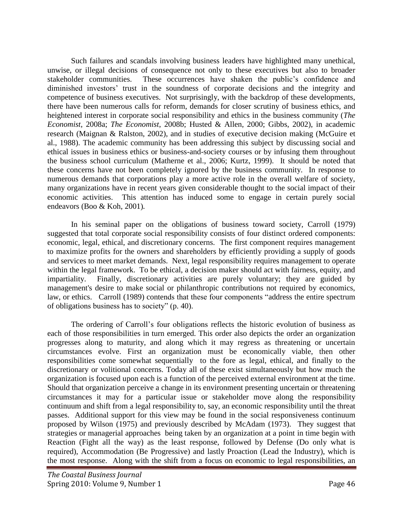Such failures and scandals involving business leaders have highlighted many unethical, unwise, or illegal decisions of consequence not only to these executives but also to broader stakeholder communities. These occurrences have shaken the public"s confidence and diminished investors' trust in the soundness of corporate decisions and the integrity and competence of business executives. Not surprisingly, with the backdrop of these developments, there have been numerous calls for reform, demands for closer scrutiny of business ethics, and heightened interest in corporate social responsibility and ethics in the business community (*The Economist*, 2008a; *The Economist*, 2008b; Husted & Allen, 2000; Gibbs, 2002), in academic research (Maignan & Ralston, 2002), and in studies of executive decision making (McGuire et al., 1988). The academic community has been addressing this subject by discussing social and ethical issues in business ethics or business-and-society courses or by infusing them throughout the business school curriculum (Matherne et al., 2006; Kurtz, 1999). It should be noted that these concerns have not been completely ignored by the business community. In response to numerous demands that corporations play a more active role in the overall welfare of society, many organizations have in recent years given considerable thought to the social impact of their economic activities.This attention has induced some to engage in certain purely social endeavors (Boo & Koh, 2001)*.* 

In his seminal paper on the obligations of business toward society, Carroll (1979) suggested that total corporate social responsibility consists of four distinct ordered components: economic, legal, ethical, and discretionary concerns. The first component requires management to maximize profits for the owners and shareholders by efficiently providing a supply of goods and services to meet market demands. Next, legal responsibility requires management to operate within the legal framework. To be ethical, a decision maker should act with fairness, equity, and impartiality. Finally, discretionary activities are purely voluntary; they are guided by management's desire to make social or philanthropic contributions not required by economics, law, or ethics. Carroll (1989) contends that these four components "address the entire spectrum of obligations business has to society" (p. 40).

The ordering of Carroll's four obligations reflects the historic evolution of business as each of those responsibilities in turn emerged. This order also depicts the order an organization progresses along to maturity, and along which it may regress as threatening or uncertain circumstances evolve. First an organization must be economically viable, then other responsibilities come somewhat sequentially to the fore as legal, ethical, and finally to the discretionary or volitional concerns. Today all of these exist simultaneously but how much the organization is focused upon each is a function of the perceived external environment at the time. Should that organization perceive a change in its environment presenting uncertain or threatening circumstances it may for a particular issue or stakeholder move along the responsibility continuum and shift from a legal responsibility to, say, an economic responsibility until the threat passes. Additional support for this view may be found in the social responsiveness continuum proposed by Wilson (1975) and previously described by McAdam (1973). They suggest that strategies or managerial approaches being taken by an organization at a point in time begin with Reaction (Fight all the way) as the least response, followed by Defense (Do only what is required), Accommodation (Be Progressive) and lastly Proaction (Lead the Industry), which is the most response. Along with the shift from a focus on economic to legal responsibilities, an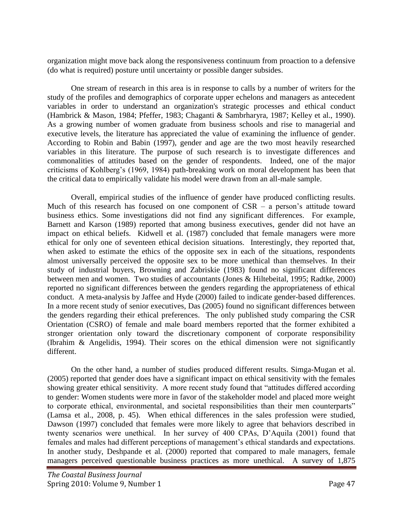organization might move back along the responsiveness continuum from proaction to a defensive (do what is required) posture until uncertainty or possible danger subsides.

 One stream of research in this area is in response to calls by a number of writers for the study of the profiles and demographics of corporate upper echelons and managers as antecedent variables in order to understand an organization's strategic processes and ethical conduct (Hambrick & Mason, 1984; Pfeffer, 1983; Chaganti & Sambrharyra, 1987; Kelley et al., 1990). As a growing number of women graduate from business schools and rise to managerial and executive levels, the literature has appreciated the value of examining the influence of gender. According to Robin and Babin (1997), gender and age are the two most heavily researched variables in this literature. The purpose of such research is to investigate differences and commonalities of attitudes based on the gender of respondents. Indeed, one of the major criticisms of Kohlberg"s (1969, 1984) path-breaking work on moral development has been that the critical data to empirically validate his model were drawn from an all-male sample.

Overall, empirical studies of the influence of gender have produced conflicting results. Much of this research has focused on one component of  $CSR - a$  person's attitude toward business ethics. Some investigations did not find any significant differences. For example, Barnett and Karson (1989) reported that among business executives, gender did not have an impact on ethical beliefs. Kidwell et al. (1987) concluded that female managers were more ethical for only one of seventeen ethical decision situations. Interestingly, they reported that, when asked to estimate the ethics of the opposite sex in each of the situations, respondents almost universally perceived the opposite sex to be more unethical than themselves. In their study of industrial buyers, Browning and Zabriskie (1983) found no significant differences between men and women. Two studies of accountants (Jones & Hiltebeital, 1995; Radtke, 2000) reported no significant differences between the genders regarding the appropriateness of ethical conduct. A meta-analysis by Jaffee and Hyde (2000) failed to indicate gender-based differences. In a more recent study of senior executives, Das (2005) found no significant differences between the genders regarding their ethical preferences. The only published study comparing the CSR Orientation (CSRO) of female and male board members reported that the former exhibited a stronger orientation only toward the discretionary component of corporate responsibility (Ibrahim & Angelidis, 1994). Their scores on the ethical dimension were not significantly different.

On the other hand, a number of studies produced different results. Simga-Mugan et al. (2005) reported that gender does have a significant impact on ethical sensitivity with the females showing greater ethical sensitivity. A more recent study found that "attitudes differed according to gender: Women students were more in favor of the stakeholder model and placed more weight to corporate ethical, environmental, and societal responsibilities than their men counterparts" (Lamsa et al., 2008, p. 45). When ethical differences in the sales profession were studied, Dawson (1997) concluded that females were more likely to agree that behaviors described in twenty scenarios were unethical. In her survey of 400 CPAs, D"Aquila (2001) found that females and males had different perceptions of management's ethical standards and expectations. In another study, Deshpande et al. (2000) reported that compared to male managers, female managers perceived questionable business practices as more unethical. A survey of 1,875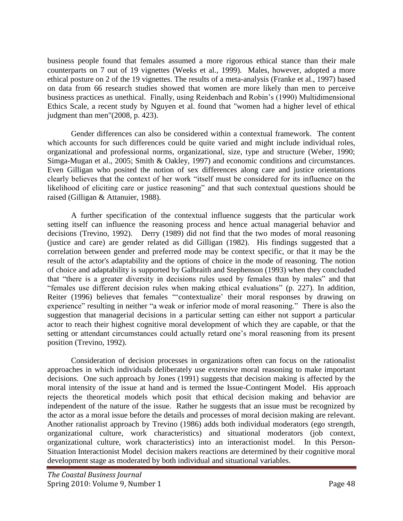business people found that females assumed a more rigorous ethical stance than their male counterparts on 7 out of 19 vignettes (Weeks et al., 1999). Males, however, adopted a more ethical posture on 2 of the 19 vignettes. The results of a meta-analysis (Franke et al., 1997) based on data from 66 research studies showed that women are more likely than men to perceive business practices as unethical. Finally, using Reidenbach and Robin"s (1990) Multidimensional Ethics Scale, a recent study by Nguyen et al. found that "women had a higher level of ethical judgment than men"(2008, p. 423).

Gender differences can also be considered within a contextual framework. The content which accounts for such differences could be quite varied and might include individual roles, organizational and professional norms, organizational, size, type and structure (Weber, 1990; Simga-Mugan et al., 2005; Smith & Oakley, 1997) and economic conditions and circumstances. Even Gilligan who posited the notion of sex differences along care and justice orientations clearly believes that the context of her work "itself must be considered for its influence on the likelihood of eliciting care or justice reasoning" and that such contextual questions should be raised (Gilligan & Attanuier, 1988).

 A further specification of the contextual influence suggests that the particular work setting itself can influence the reasoning process and hence actual managerial behavior and decisions (Trevino, 1992). Derry (1989) did not find that the two modes of moral reasoning (justice and care) are gender related as did Gilligan (1982). His findings suggested that a correlation between gender and preferred mode may be context specific, or that it may be the result of the actor's adaptability and the options of choice in the mode of reasoning. The notion of choice and adaptability is supported by Galbraith and Stephenson (1993) when they concluded that "there is a greater diversity in decisions rules used by females than by males" and that "females use different decision rules when making ethical evaluations" (p. 227). In addition, Reiter (1996) believes that females "contextualize' their moral responses by drawing on experience" resulting in neither "a weak or inferior mode of moral reasoning." There is also the suggestion that managerial decisions in a particular setting can either not support a particular actor to reach their highest cognitive moral development of which they are capable, or that the setting or attendant circumstances could actually retard one's moral reasoning from its present position (Trevino, 1992).

 Consideration of decision processes in organizations often can focus on the rationalist approaches in which individuals deliberately use extensive moral reasoning to make important decisions. One such approach by Jones (1991) suggests that decision making is affected by the moral intensity of the issue at hand and is termed the Issue-Contingent Model. His approach rejects the theoretical models which posit that ethical decision making and behavior are independent of the nature of the issue. Rather he suggests that an issue must be recognized by the actor as a moral issue before the details and processes of moral decision making are relevant. Another rationalist approach by Trevino (1986) adds both individual moderators (ego strength, organizational culture, work characteristics) and situational moderators (job context, organizational culture, work characteristics) into an interactionist model. In this Person-Situation Interactionist Model decision makers reactions are determined by their cognitive moral development stage as moderated by both individual and situational variables.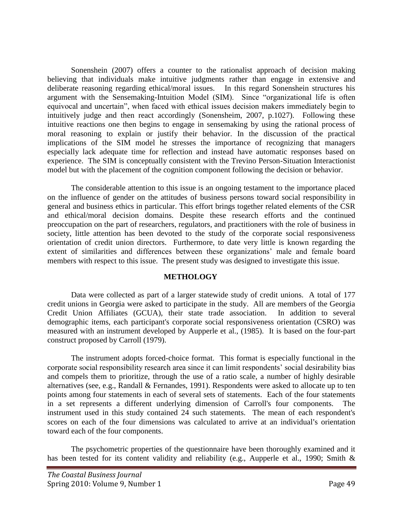Sonenshein (2007) offers a counter to the rationalist approach of decision making believing that individuals make intuitive judgments rather than engage in extensive and deliberate reasoning regarding ethical/moral issues. In this regard Sonenshein structures his argument with the Sensemaking-Intuition Model (SIM). Since "organizational life is often equivocal and uncertain", when faced with ethical issues decision makers immediately begin to intuitively judge and then react accordingly (Sonensheim, 2007, p.1027). Following these intuitive reactions one then begins to engage in sensemaking by using the rational process of moral reasoning to explain or justify their behavior. In the discussion of the practical implications of the SIM model he stresses the importance of recognizing that managers especially lack adequate time for reflection and instead have automatic responses based on experience. The SIM is conceptually consistent with the Trevino Person-Situation Interactionist model but with the placement of the cognition component following the decision or behavior.

The considerable attention to this issue is an ongoing testament to the importance placed on the influence of gender on the attitudes of business persons toward social responsibility in general and business ethics in particular. This effort brings together related elements of the CSR and ethical/moral decision domains. Despite these research efforts and the continued preoccupation on the part of researchers, regulators, and practitioners with the role of business in society, little attention has been devoted to the study of the corporate social responsiveness orientation of credit union directors. Furthermore, to date very little is known regarding the extent of similarities and differences between these organizations" male and female board members with respect to this issue. The present study was designed to investigate this issue.

#### **METHOLOGY**

Data were collected as part of a larger statewide study of credit unions. A total of 177 credit unions in Georgia were asked to participate in the study. All are members of the Georgia Credit Union Affiliates (GCUA), their state trade association. In addition to several demographic items, each participant's corporate social responsiveness orientation (CSRO) was measured with an instrument developed by Aupperle et al., (1985). It is based on the four-part construct proposed by Carroll (1979).

The instrument adopts forced-choice format. This format is especially functional in the corporate social responsibility research area since it can limit respondents" social desirability bias and compels them to prioritize, through the use of a ratio scale, a number of highly desirable alternatives (see, e.g., Randall & Fernandes, 1991). Respondents were asked to allocate up to ten points among four statements in each of several sets of statements. Each of the four statements in a set represents a different underlying dimension of Carroll's four components. The instrument used in this study contained 24 such statements. The mean of each respondent's scores on each of the four dimensions was calculated to arrive at an individual's orientation toward each of the four components.

The psychometric properties of the questionnaire have been thoroughly examined and it has been tested for its content validity and reliability (e.g., Aupperle et al., 1990; Smith &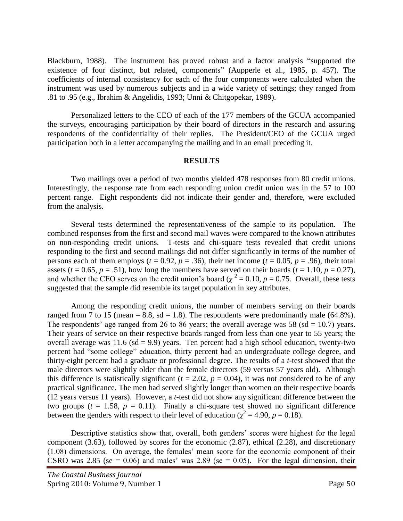Blackburn, 1988). The instrument has proved robust and a factor analysis "supported the existence of four distinct, but related, components" (Aupperle et al., 1985, p. 457). The coefficients of internal consistency for each of the four components were calculated when the instrument was used by numerous subjects and in a wide variety of settings; they ranged from .81 to .95 (e.g., Ibrahim & Angelidis, 1993; Unni & Chitgopekar, 1989).

Personalized letters to the CEO of each of the 177 members of the GCUA accompanied the surveys, encouraging participation by their board of directors in the research and assuring respondents of the confidentiality of their replies. The President/CEO of the GCUA urged participation both in a letter accompanying the mailing and in an email preceding it.

#### **RESULTS**

Two mailings over a period of two months yielded 478 responses from 80 credit unions. Interestingly, the response rate from each responding union credit union was in the 57 to 100 percent range. Eight respondents did not indicate their gender and, therefore, were excluded from the analysis.

Several tests determined the representativeness of the sample to its population. The combined responses from the first and second mail waves were compared to the known attributes on non-responding credit unions. T-tests and chi-square tests revealed that credit unions responding to the first and second mailings did not differ significantly in terms of the number of persons each of them employs ( $t = 0.92$ ,  $p = .36$ ), their net income ( $t = 0.05$ ,  $p = .96$ ), their total assets ( $t = 0.65$ ,  $p = .51$ ), how long the members have served on their boards ( $t = 1.10$ ,  $p = 0.27$ ), and whether the CEO serves on the credit union's board ( $\chi^2$  = 0.10, *p* = 0.75. Overall, these tests suggested that the sample did resemble its target population in key attributes.

Among the responding credit unions, the number of members serving on their boards ranged from 7 to 15 (mean = 8.8, sd = 1.8). The respondents were predominantly male  $(64.8\%)$ . The respondents' age ranged from 26 to 86 years; the overall average was 58 (sd =  $10.7$ ) years. Their years of service on their respective boards ranged from less than one year to 55 years; the overall average was  $11.6$  (sd = 9.9) years. Ten percent had a high school education, twenty-two percent had "some college" education, thirty percent had an undergraduate college degree, and thirty-eight percent had a graduate or professional degree. The results of a *t*-test showed that the male directors were slightly older than the female directors (59 versus 57 years old). Although this difference is statistically significant ( $t = 2.02$ ,  $p = 0.04$ ), it was not considered to be of any practical significance. The men had served slightly longer than women on their respective boards (12 years versus 11 years). However, a *t*-test did not show any significant difference between the two groups ( $t = 1.58$ ,  $p = 0.11$ ). Finally a chi-square test showed no significant difference between the genders with respect to their level of education ( $\chi^2 = 4.90$ ,  $p = 0.18$ ).

Descriptive statistics show that, overall, both genders' scores were highest for the legal component (3.63), followed by scores for the economic (2.87), ethical (2.28), and discretionary (1.08) dimensions. On average, the females" mean score for the economic component of their CSRO was 2.85 (se =  $0.06$ ) and males' was 2.89 (se =  $0.05$ ). For the legal dimension, their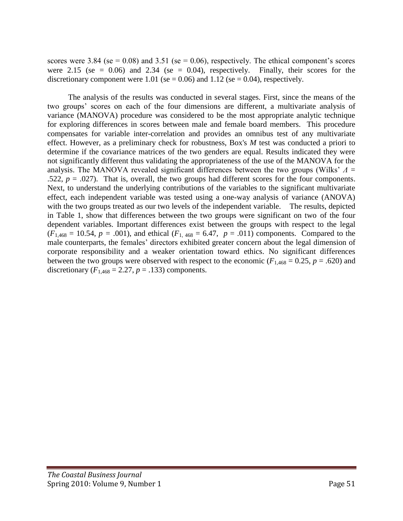scores were 3.84 (se =  $0.08$ ) and 3.51 (se =  $0.06$ ), respectively. The ethical component's scores were 2.15 (se =  $0.06$ ) and 2.34 (se = 0.04), respectively. Finally, their scores for the discretionary component were 1.01 (se = 0.06) and 1.12 (se = 0.04), respectively.

The analysis of the results was conducted in several stages. First, since the means of the two groups" scores on each of the four dimensions are different, a multivariate analysis of variance (MANOVA) procedure was considered to be the most appropriate analytic technique for exploring differences in scores between male and female board members. This procedure compensates for variable inter-correlation and provides an omnibus test of any multivariate effect. However, as a preliminary check for robustness, Box's *M* test was conducted a priori to determine if the covariance matrices of the two genders are equal. Results indicated they were not significantly different thus validating the appropriateness of the use of the MANOVA for the analysis. The MANOVA revealed significant differences between the two groups (Wilks" *Λ* = .522,  $p = .027$ ). That is, overall, the two groups had different scores for the four components. Next, to understand the underlying contributions of the variables to the significant multivariate effect, each independent variable was tested using a one-way analysis of variance (ANOVA) with the two groups treated as our two levels of the independent variable. The results, depicted in Table 1, show that differences between the two groups were significant on two of the four dependent variables. Important differences exist between the groups with respect to the legal  $(F_{1,468} = 10.54, p = .001)$ , and ethical  $(F_{1,468} = 6.47, p = .011)$  components. Compared to the male counterparts, the females' directors exhibited greater concern about the legal dimension of corporate responsibility and a weaker orientation toward ethics. No significant differences between the two groups were observed with respect to the economic ( $F_{1,468} = 0.25$ ,  $p = .620$ ) and discretionary ( $F_{1,468} = 2.27$ ,  $p = .133$ ) components.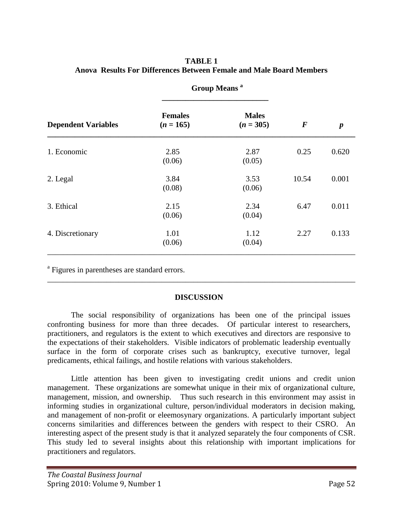# **TABLE 1 Anova Results For Differences Between Female and Male Board Members**

| <b>Dependent Variables</b> |                               |                             |          |                  |
|----------------------------|-------------------------------|-----------------------------|----------|------------------|
|                            | <b>Females</b><br>$(n = 165)$ | <b>Males</b><br>$(n = 305)$ | $\bm{F}$ | $\boldsymbol{p}$ |
| 1. Economic                | 2.85<br>(0.06)                | 2.87<br>(0.05)              | 0.25     | 0.620            |
| 2. Legal                   | 3.84<br>(0.08)                | 3.53<br>(0.06)              | 10.54    | 0.001            |
| 3. Ethical                 | 2.15<br>(0.06)                | 2.34<br>(0.04)              | 6.47     | 0.011            |
| 4. Discretionary           | 1.01<br>(0.06)                | 1.12<br>(0.04)              | 2.27     | 0.133            |

 **Group Means <sup>a</sup>**

<sup>a</sup> Figures in parentheses are standard errors.

# **DISCUSSION**

\_\_\_\_\_\_\_\_\_\_\_\_\_\_\_\_\_\_\_\_\_\_\_\_\_\_\_\_\_\_\_\_\_\_\_\_\_\_\_\_\_\_\_\_\_\_\_\_\_\_\_\_\_\_\_\_\_\_\_\_\_\_\_\_\_\_\_\_\_\_\_\_\_\_\_\_\_\_

The social responsibility of organizations has been one of the principal issues confronting business for more than three decades. Of particular interest to researchers, practitioners, and regulators is the extent to which executives and directors are responsive to the expectations of their stakeholders. Visible indicators of problematic leadership eventually surface in the form of corporate crises such as bankruptcy, executive turnover, legal predicaments, ethical failings, and hostile relations with various stakeholders.

Little attention has been given to investigating credit unions and credit union management. These organizations are somewhat unique in their mix of organizational culture, management, mission, and ownership. Thus such research in this environment may assist in informing studies in organizational culture, person/individual moderators in decision making, and management of non-profit or eleemosynary organizations. A particularly important subject concerns similarities and differences between the genders with respect to their CSRO. An interesting aspect of the present study is that it analyzed separately the four components of CSR. This study led to several insights about this relationship with important implications for practitioners and regulators.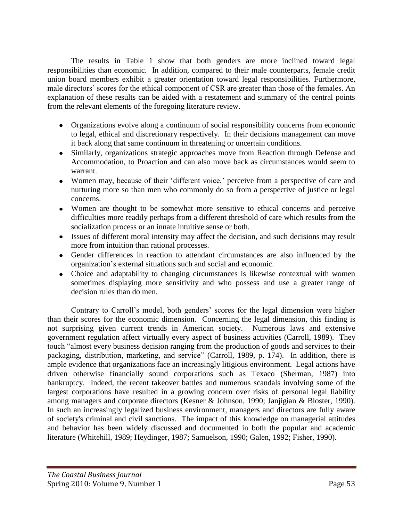The results in Table 1 show that both genders are more inclined toward legal responsibilities than economic. In addition, compared to their male counterparts, female credit union board members exhibit a greater orientation toward legal responsibilities. Furthermore, male directors' scores for the ethical component of CSR are greater than those of the females. An explanation of these results can be aided with a restatement and summary of the central points from the relevant elements of the foregoing literature review.

- Organizations evolve along a continuum of social responsibility concerns from economic to legal, ethical and discretionary respectively. In their decisions management can move it back along that same continuum in threatening or uncertain conditions.
- Similarly, organizations strategic approaches move from Reaction through Defense and Accommodation, to Proaction and can also move back as circumstances would seem to warrant.
- Women may, because of their 'different voice,' perceive from a perspective of care and nurturing more so than men who commonly do so from a perspective of justice or legal concerns.
- Women are thought to be somewhat more sensitive to ethical concerns and perceive difficulties more readily perhaps from a different threshold of care which results from the socialization process or an innate intuitive sense or both.
- Issues of different moral intensity may affect the decision, and such decisions may result more from intuition than rational processes.
- Gender differences in reaction to attendant circumstances are also influenced by the organization"s external situations such and social and economic.
- Choice and adaptability to changing circumstances is likewise contextual with women sometimes displaying more sensitivity and who possess and use a greater range of decision rules than do men.

Contrary to Carroll's model, both genders' scores for the legal dimension were higher than their scores for the economic dimension. Concerning the legal dimension, this finding is not surprising given current trends in American society. Numerous laws and extensive government regulation affect virtually every aspect of business activities (Carroll, 1989). They touch "almost every business decision ranging from the production of goods and services to their packaging, distribution, marketing, and service" (Carroll, 1989, p. 174). In addition, there is ample evidence that organizations face an increasingly litigious environment. Legal actions have driven otherwise financially sound corporations such as Texaco (Sherman, 1987) into bankruptcy. Indeed, the recent takeover battles and numerous scandals involving some of the largest corporations have resulted in a growing concern over risks of personal legal liability among managers and corporate directors (Kesner & Johnson, 1990; Janjigian & Bloster, 1990). In such an increasingly legalized business environment, managers and directors are fully aware of society's criminal and civil sanctions. The impact of this knowledge on managerial attitudes and behavior has been widely discussed and documented in both the popular and academic literature (Whitehill, 1989; Heydinger, 1987; Samuelson, 1990; Galen, 1992; Fisher, 1990).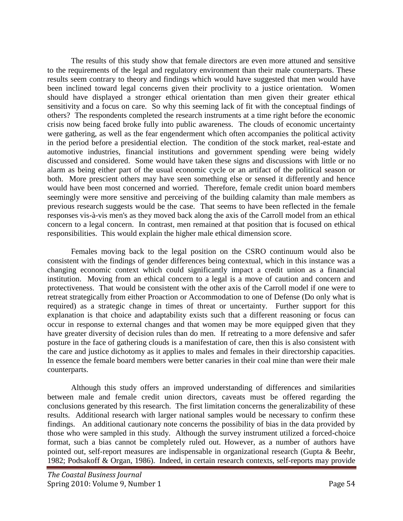The results of this study show that female directors are even more attuned and sensitive to the requirements of the legal and regulatory environment than their male counterparts. These results seem contrary to theory and findings which would have suggested that men would have been inclined toward legal concerns given their proclivity to a justice orientation. Women should have displayed a stronger ethical orientation than men given their greater ethical sensitivity and a focus on care. So why this seeming lack of fit with the conceptual findings of others? The respondents completed the research instruments at a time right before the economic crisis now being faced broke fully into public awareness. The clouds of economic uncertainty were gathering, as well as the fear engenderment which often accompanies the political activity in the period before a presidential election. The condition of the stock market, real-estate and automotive industries, financial institutions and government spending were being widely discussed and considered. Some would have taken these signs and discussions with little or no alarm as being either part of the usual economic cycle or an artifact of the political season or both. More prescient others may have seen something else or sensed it differently and hence would have been most concerned and worried. Therefore, female credit union board members seemingly were more sensitive and perceiving of the building calamity than male members as previous research suggests would be the case. That seems to have been reflected in the female responses vis-à-vis men's as they moved back along the axis of the Carroll model from an ethical concern to a legal concern. In contrast, men remained at that position that is focused on ethical responsibilities. This would explain the higher male ethical dimension score.

Females moving back to the legal position on the CSRO continuum would also be consistent with the findings of gender differences being contextual, which in this instance was a changing economic context which could significantly impact a credit union as a financial institution. Moving from an ethical concern to a legal is a move of caution and concern and protectiveness. That would be consistent with the other axis of the Carroll model if one were to retreat strategically from either Proaction or Accommodation to one of Defense (Do only what is required) as a strategic change in times of threat or uncertainty. Further support for this explanation is that choice and adaptability exists such that a different reasoning or focus can occur in response to external changes and that women may be more equipped given that they have greater diversity of decision rules than do men. If retreating to a more defensive and safer posture in the face of gathering clouds is a manifestation of care, then this is also consistent with the care and justice dichotomy as it applies to males and females in their directorship capacities. In essence the female board members were better canaries in their coal mine than were their male counterparts.

Although this study offers an improved understanding of differences and similarities between male and female credit union directors, caveats must be offered regarding the conclusions generated by this research. The first limitation concerns the generalizability of these results. Additional research with larger national samples would be necessary to confirm these findings. An additional cautionary note concerns the possibility of bias in the data provided by those who were sampled in this study. Although the survey instrument utilized a forced-choice format, such a bias cannot be completely ruled out. However, as a number of authors have pointed out, self-report measures are indispensable in organizational research (Gupta & Beehr, 1982; Podsakoff & Organ, 1986). Indeed, in certain research contexts, self-reports may provide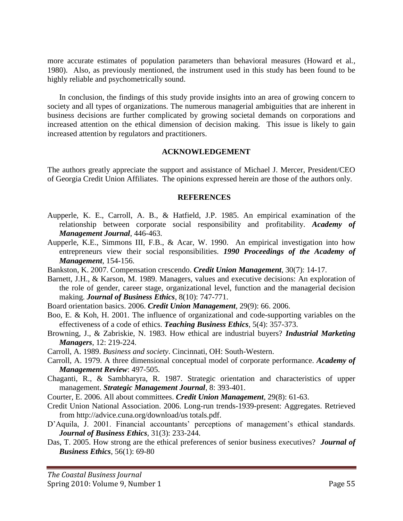more accurate estimates of population parameters than behavioral measures (Howard et al*.,* 1980). Also, as previously mentioned, the instrument used in this study has been found to be highly reliable and psychometrically sound.

In conclusion, the findings of this study provide insights into an area of growing concern to society and all types of organizations. The numerous managerial ambiguities that are inherent in business decisions are further complicated by growing societal demands on corporations and increased attention on the ethical dimension of decision making. This issue is likely to gain increased attention by regulators and practitioners.

#### **ACKNOWLEDGEMENT**

The authors greatly appreciate the support and assistance of Michael J. Mercer, President/CEO of Georgia Credit Union Affiliates. The opinions expressed herein are those of the authors only.

#### **REFERENCES**

- Aupperle, K. E., Carroll, A. B., & Hatfield, J.P. 1985. An empirical examination of the relationship between corporate social responsibility and profitability. *Academy of Management Journal*, 446-463.
- Aupperle, K.E., Simmons III, F.B., & Acar, W. 1990. An empirical investigation into how entrepreneurs view their social responsibilities. *1990 Proceedings of the Academy of Management*, 154-156.
- Bankston, K. 2007. Compensation crescendo. *Credit Union Management*, 30(7): 14-17.
- Barnett, J.H., & Karson, M. 1989. Managers, values and executive decisions: An exploration of the role of gender, career stage, organizational level, function and the managerial decision making. *Journal of Business Ethics*, 8(10): 747-771.
- Board orientation basics. 2006. *Credit Union Management*, 29(9): 66. 2006.
- Boo, E. & Koh, H. 2001. The influence of organizational and code-supporting variables on the effectiveness of a code of ethics. *Teaching Business Ethics*, 5(4): 357-373.
- Browning, J., & Zabriskie, N. 1983. How ethical are industrial buyers? *Industrial Marketing Managers*, 12: 219-224.
- Carroll, A. 1989. *Business and society*. Cincinnati, OH: South-Western.
- Carroll, A. 1979. A three dimensional conceptual model of corporate performance. *Academy of Management Review*: 497-505.
- Chaganti, R., & Sambharyra, R. 1987. Strategic orientation and characteristics of upper management. *Strategic Management Journal*, 8: 393-401.
- Courter, E. 2006. All about committees. *Credit Union Management*, 29(8): 61-63.
- Credit Union National Association. 2006. Long-run trends-1939-present: Aggregates. Retrieved from http://advice.cuna.org/download/us totals.pdf.
- D'Aquila, J. 2001. Financial accountants' perceptions of management's ethical standards. *Journal of Business Ethics*, 31(3): 233-244.
- Das, T. 2005. How strong are the ethical preferences of senior business executives? *Journal of Business Ethics*, 56(1): 69-80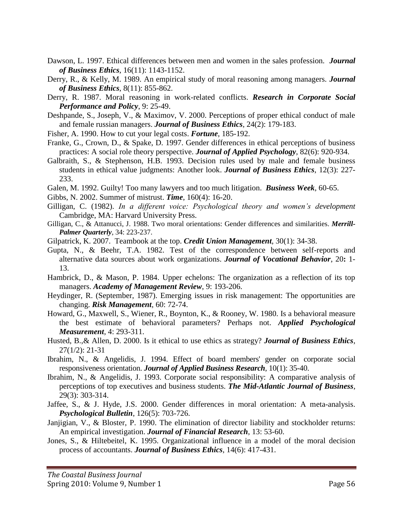- Dawson, L. 1997. Ethical differences between men and women in the sales profession. *Journal of Business Ethics*, 16(11): 1143-1152.
- Derry, R., & Kelly, M. 1989. An empirical study of moral reasoning among managers. *Journal of Business Ethics*, 8(11): 855-862.
- Derry, R. 1987. Moral reasoning in work-related conflicts. *Research in Corporate Social Performance and Policy*, 9: 25-49.
- Deshpande, S., Joseph, V., & Maximov, V. 2000. Perceptions of proper ethical conduct of male and female russian managers. *Journal of Business Ethics*, 24(2): 179-183.
- Fisher, A. 1990. How to cut your legal costs. *Fortune*, 185-192.
- Franke, G., Crown, D., & Spake, D. 1997. Gender differences in ethical perceptions of business practices: A social role theory perspective. *Journal of Applied Psychology*, 82(6): 920-934.
- Galbraith, S., & Stephenson, H.B. 1993. Decision rules used by male and female business students in ethical value judgments: Another look. *Journal of Business Ethics*, 12(3): 227- 233.
- Galen, M. 1992. Guilty! Too many lawyers and too much litigation. *Business Week*, 60-65.
- Gibbs, N. 2002. Summer of mistrust. *Time*, 160(4): 16-20.
- Gilligan, C. (1982). *In a different voice: Psychological theory and women's development* Cambridge, MA: Harvard University Press.
- Gilligan, C., & Attanucci, J. 1988. Two moral orientations: Gender differences and similarities. *Merrill-Palmer Quarterly*, 34: 223-237.
- Gilpatrick, K. 2007. Teambook at the top. *Credit Union Management*, 30(1): 34-38.
- Gupta, N., & Beehr, T.A. 1982. Test of the correspondence between self-reports and alternative data sources about work organizations. *Journal of Vocational Behavior*, 20**:** 1- 13.
- Hambrick, D., & Mason, P. 1984. Upper echelons: The organization as a reflection of its top managers. *Academy of Management Review*, 9: 193-206.
- Heydinger, R. (September, 1987). Emerging issues in risk management: The opportunities are changing. *Risk Management*, 60: 72-74.
- Howard, G., Maxwell, S., Wiener, R., Boynton, K., & Rooney, W. 1980. Is a behavioral measure the best estimate of behavioral parameters? Perhaps not. *Applied Psychological Measurement*, 4: 293-311.
- Husted, B.,& Allen, D. 2000. Is it ethical to use ethics as strategy? *Journal of Business Ethics*, 27(1/2): 21-31
- Ibrahim, N., & Angelidis, J. 1994. Effect of board members' gender on corporate social responsiveness orientation. *Journal of Applied Business Research*, 10(1): 35-40.
- Ibrahim, N., & Angelidis, J. 1993. Corporate social responsibility: A comparative analysis of perceptions of top executives and business students. *The Mid-Atlantic Journal of Business*, 29(3): 303-314.
- Jaffee, S., & J. Hyde, J.S. 2000. Gender differences in moral orientation: A meta-analysis. *Psychological Bulletin*, 126(5): 703-726.
- Janjigian, V., & Bloster, P. 1990. The elimination of director liability and stockholder returns: An empirical investigation. *Journal of Financial Research*, 13: 53-60.
- Jones, S., & Hiltebeitel, K. 1995. [Organizational influence in a model of the moral decision](http://proquest.umi.com/pqdweb?index=2&did=6674751&SrchMode=1&sid=7&Fmt=3&VInst=PROD&VType=PQD&RQT=309&VName=PQD&TS=1222718976&clientId=30209)  [process of accountants.](http://proquest.umi.com/pqdweb?index=2&did=6674751&SrchMode=1&sid=7&Fmt=3&VInst=PROD&VType=PQD&RQT=309&VName=PQD&TS=1222718976&clientId=30209) *Journal of Business Ethics*, 14(6): 417-431.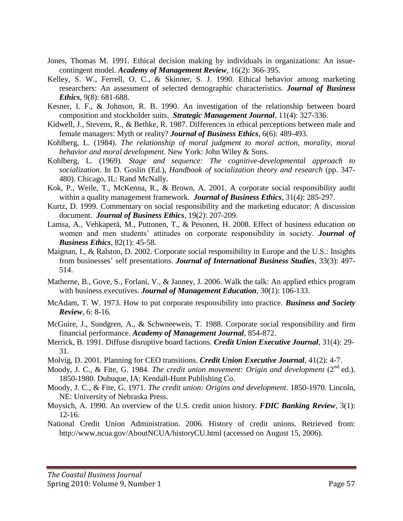- Jones, Thomas M. 1991. Ethical decision making by individuals in organizations: An issuecontingent model. *Academy of Management Review*, 16(2): 366-395.
- Kelley, S. W., Ferrell, O. C., & Skinner, S. J. 1990. Ethical behavior among marketing researchers: An assessment of selected demographic characteristics. *Journal of Business Ethics*, 9(8): 681-688.
- Kesner, I. F., & Johnson, R. B. 1990. An investigation of the relationship between board composition and stockholder suits. *Strategic Management Journal*, 11(4): 327-336.
- Kidwell, J., Stevens, R., & Bethke, R. 1987. Differences in ethical perceptions between male and female managers: Myth or reality? *Journal of Business Ethics*, 6(6): 489-493.
- Kohlberg, L. (1984). *The relationship of moral judgment to moral action, morality, moral behavior and moral development*. New York: John Wiley & Sons.
- Kohlberg, L. (1969). *Stage and sequence: The cognitive-developmental approach to socialization*. In D. Goslin (Ed.), *Handbook of socialization theory and research* (pp. 347- 480). Chicago, IL: Rand McNally.
- Kok, P., Weile, T., McKenna, R., & Brown, A. 2001. A corporate social responsibility audit within a quality management framework. *Journal of Business Ethics*, 31(4): 285-297.
- Kurtz, D. 1999. Commentary on social responsibility and the marketing educator: A discussion document. *Journal of Business Ethics*, 19(2): 207-209.
- Lamsa, A., Vehkaperä, M., Puttonen, T., & Pesonen, H. 2008. Effect of business education on women and men students" attitudes on corporate responsibility in society. *Journal of Business Ethics*, 82(1): 45-58.
- Maignan, I., & Ralston, D. 2002. Corporate social responsibility in Europe and the U.S.: Insights from businesses" self presentations. *Journal of International Business Studies*, 33(3): 497- 514.
- Matherne, B., Gove, S., Forlani, V., & Janney, J. 2006. Walk the talk: An applied ethics program with business executives. *Journal of Management Education*, 30(1): 106-133.
- McAdam, T. W. 1973. How to put corporate responsibility into practice. *Business and Society Review*, 6: 8-16*.*
- McGuire, J., Sundgren, A., & Schwneeweis, T. 1988. Corporate social responsibility and firm financial performance. *Academy of Management Journal*, 854-872.
- Merrick, B. 1991. Diffuse disruptive board factions. *Credit Union Executive Journal*, 31(4): 29- 31.
- Molvig, D. 2001. Planning for CEO transitions. *Credit Union Executive Journal*, 41(2): 4-7.
- Moody, J. C., & Fite, G. 1984. *The credit union movement: Origin and development* (2<sup>nd</sup> ed.). 1850-1980. Dubuque, IA: Kendall-Hunt Publishing Co.
- Moody, J. C., & Fite, G. 1971. *The credit union: Origins and development*. 1850-1970. Lincoln, NE: University of Nebraska Press.
- Moysich, A. 1990. An overview of the U.S. credit union history. *FDIC Banking Review*, 3(1): 12-16.
- National Credit Union Administration. 2006. History of credit unions. Retrieved from: http://www.ncua.gov/AboutNCUA/historyCU.html (accessed on August 15, 2006).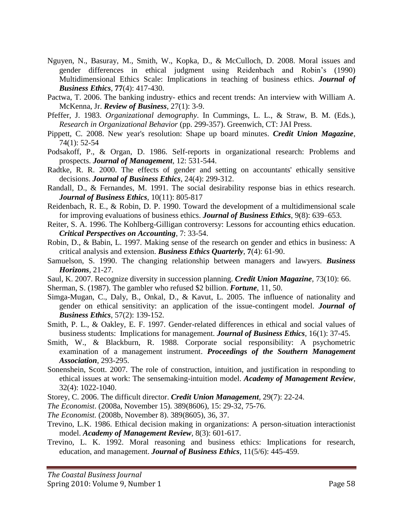- Nguyen, N., Basuray, M., Smith, W., Kopka, D., & McCulloch, D. 2008. Moral issues and gender differences in ethical judgment using Reidenbach and Robin"s (1990) Multidimensional Ethics Scale: Implications in teaching of business ethics. *Journal of Business Ethics*, **77**(4): 417-430.
- Pactwa, T. 2006. The banking industry- ethics and recent trends: An interview with William A. McKenna, Jr. *Review of Business*, 27(1): 3-9.
- Pfeffer, J. 1983. *Organizational demography*. In Cummings, L. L., & Straw, B. M. (Eds.), *Research in Organizational Behavior* (pp. 299-357). Greenwich, CT: JAI Press.
- Pippett, C. 2008. New year's resolution: Shape up board minutes. *Credit Union Magazine*, 74(1): 52-54
- Podsakoff, P., & Organ, D. 1986. Self-reports in organizational research: Problems and prospects. *Journal of Management*, 12: 531-544.
- Radtke, R. R. 2000. The effects of gender and setting on accountants' ethically sensitive decisions. *Journal of Business Ethics*, 24(4): 299-312.
- Randall, D., & Fernandes, M. 1991. The social desirability response bias in ethics research. *Journal of Business Ethics*, 10(11): 805-817
- Reidenbach, R. E., & Robin, D. P. 1990. Toward the development of a multidimensional scale for improving evaluations of business ethics. *Journal of Business Ethics*, 9(8): 639–653.
- Reiter, S. A. 1996. The Kohlberg-Gilligan controversy: Lessons for accounting ethics education. *Critical Perspectives on Accounting*, 7: 33-54.
- Robin, D., & Babin, L. 1997. [Making sense of the research on gender and ethics in business: A](javascript:genAccWindow()  [critical analysis and extension.](javascript:genAccWindow() *Business Ethics Quarterly*, **7**(4): 61-90.
- Samuelson, S. 1990. The changing relationship between managers and lawyers. *Business Horizons*, 21-27.
- Saul, K. 2007. Recognize diversity in succession planning. *Credit Union Magazine*, 73(10): 66.
- Sherman, S. (1987). The gambler who refused \$2 billion. *Fortune*, 11, 50.
- Simga-Mugan, C., Daly, B., Onkal, D., & Kavut, L. 2005. The influence of nationality and gender on ethical sensitivity: an application of the issue-contingent model. *Journal of Business Ethics*, 57(2): 139-152.
- Smith, P. L., & Oakley, E. F. 1997. Gender-related differences in ethical and social values of business students: Implications for management. *Journal of Business Ethics*, 16(1): 37-45.
- Smith, W., & Blackburn, R. 1988. Corporate social responsibility: A psychometric examination of a management instrument. *Proceedings of the Southern Management Association*, 293-295.
- Sonenshein, Scott. 2007. The role of construction, intuition, and justification in responding to ethical issues at work: The sensemaking-intuition model. *Academy of Management Review*, 32(4): 1022-1040.

Storey, C. 2006. The difficult director. *Credit Union Management*, 29(7): 22-24.

*The Economist*. (2008a, November 15). 389(8606), 15: 29-32, 75-76.

*The Economist.* (2008b, November 8). 389(8605), 36, 37.

- Trevino, L.K. 1986. Ethical decision making in organizations: A person-situation interactionist model. *Academy of Management Review*, 8(3): 601-617.
- Trevino, L. K. 1992. Moral reasoning and business ethics: Implications for research, education, and management. *Journal of Business Ethics*, 11(5/6): 445-459.